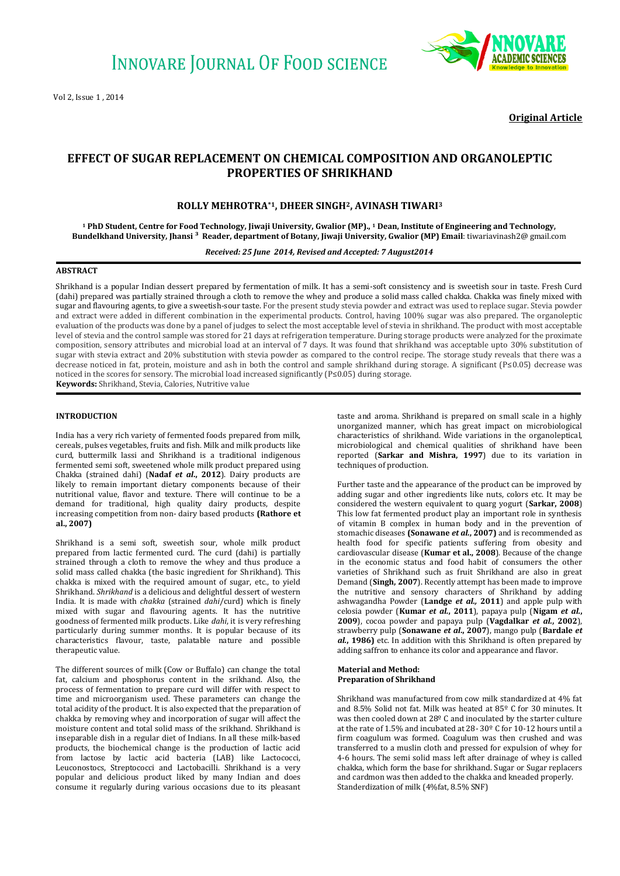

**Original Article**

# **EFFECT OF SUGAR REPLACEMENT ON CHEMICAL COMPOSITION AND ORGANOLEPTIC PROPERTIES OF SHRIKHAND**

# **ROLLY MEHROTRA\*1, DHEER SINGH2, AVINASH TIWARI<sup>3</sup>**

**<sup>1</sup> PhD Student, Centre for Food Technology, Jiwaji University, Gwalior (MP)., <sup>1</sup> Dean, Institute of Engineering and Technology, Bundelkhand University, Jhansi ³ Reader, department of Botany, Jiwaji University, Gwalior (MP) Email**: tiwariavinash2@ gmail.com

*Received: 25 June 2014, Revised and Accepted: 7 August2014*

# **ABSTRACT**

Shrikhand is a popular Indian dessert prepared by fermentation of milk. It has a semi-soft consistency and is sweetish sour in taste. Fresh Curd (dahi) prepared was partially strained through a cloth to remove the whey and produce a solid mass called chakka. Chakka was finely mixed with sugar and flavouring agents, to give a sweetish-sour taste. For the present study stevia powder and extract was used to replace sugar. Stevia powder and extract were added in different combination in the experimental products. Control, having 100% sugar was also prepared. The organoleptic evaluation of the products was done by a panel of judges to select the most acceptable level of stevia in shrikhand. The product with most acceptable level of stevia and the control sample was stored for 21 days at refrigeration temperature. During storage products were analyzed for the proximate composition, sensory attributes and microbial load at an interval of 7 days. It was found that shrikhand was acceptable upto 30% substitution of sugar with stevia extract and 20% substitution with stevia powder as compared to the control recipe. The storage study reveals that there was a decrease noticed in fat, protein, moisture and ash in both the control and sample shrikhand during storage. A significant (P≤0.05) decrease was noticed in the scores for sensory. The microbial load increased significantly (P≤0.05) during storage. **Keywords:** Shrikhand, Stevia, Calories, Nutritive value

## **INTRODUCTION**

India has a very rich variety of fermented foods prepared from milk, cereals, pulses vegetables, fruits and fish. Milk and milk products like curd, buttermilk lassi and Shrikhand is a traditional indigenous fermented semi soft, sweetened whole milk product prepared using Chakka (strained dahi) (**Nadaf** *et al***., 2012**). Dairy products are likely to remain important dietary components because of their nutritional value, flavor and texture. There will continue to be a demand for traditional, high quality dairy products, despite increasing competition from non- dairy based products **(Rathore et al., 2007)**

Shrikhand is a semi soft, sweetish sour, whole milk product prepared from lactic fermented curd. The curd (dahi) is partially strained through a cloth to remove the whey and thus produce a solid mass called chakka (the basic ingredient for Shrikhand). This chakka is mixed with the required amount of sugar, etc., to yield Shrikhand. *Shrikhand* is a delicious and delightful dessert of western India. It is made with *chakka* (strained *dahi*/curd) which is finely mixed with sugar and flavouring agents. It has the nutritive goodness of fermented milk products. Like *dahi*, it is very refreshing particularly during summer months. It is popular because of its characteristics flavour, taste, palatable nature and possible therapeutic value.

The different sources of milk (Cow or Buffalo) can change the total fat, calcium and phosphorus content in the srikhand. Also, the process of fermentation to prepare curd will differ with respect to time and microorganism used. These parameters can change the total acidity of the product. It is also expected that the preparation of chakka by removing whey and incorporation of sugar will affect the moisture content and total solid mass of the srikhand. Shrikhand is inseparable dish in a regular diet of Indians. In all these milk-based products, the biochemical change is the production of lactic acid from lactose by lactic acid bacteria (LAB) like Lactococci, Leuconostocs, Streptococci and Lactobacilli. Shrikhand is a very popular and delicious product liked by many Indian and does consume it regularly during various occasions due to its pleasant

taste and aroma. Shrikhand is prepared on small scale in a highly unorganized manner, which has great impact on microbiological characteristics of shrikhand. Wide variations in the organoleptical, microbiological and chemical qualities of shrikhand have been reported (**Sarkar and Mishra, 1997**) due to its variation in techniques of production.

Further taste and the appearance of the product can be improved by adding sugar and other ingredients like nuts, colors etc. It may be considered the western equivalent to quarg yogurt (**Sarkar, 2008**) This low fat fermented product play an important role in synthesis of vitamin B complex in human body and in the prevention of stomachic diseases **(Sonawane** *et al.***, 2007)** and is recommended as health food for specific patients suffering from obesity and cardiovascular disease (**Kumar et al., 2008**). Because of the change in the economic status and food habit of consumers the other varieties of Shrikhand such as fruit Shrikhand are also in great Demand (**Singh, 2007**). Recently attempt has been made to improve the nutritive and sensory characters of Shrikhand by adding ashwagandha Powder (**Landge** *et al.,* **2011**) and apple pulp with celosia powder (**Kumar** *et al.***, 2011**), papaya pulp (**Nigam** *et al.***, 2009**), cocoa powder and papaya pulp (**Vagdalkar** *et al.***, 2002**), strawberry pulp (**Sonawane** *et al***., 2007**), mango pulp (**Bardale** *et al.***, 1986)** etc. In addition with this Shrikhand is often prepared by adding saffron to enhance its color and appearance and flavor.

### **Material and Method: Preparation of Shrikhand**

Shrikhand was manufactured from cow milk standardized at 4% fat and 8.5% Solid not fat. Milk was heated at 85º C for 30 minutes. It was then cooled down at 28º C and inoculated by the starter culture at the rate of 1.5% and incubated at 28- 30º C for 10-12 hours until a firm coagulum was formed. Coagulum was then crushed and was transferred to a muslin cloth and pressed for expulsion of whey for 4-6 hours. The semi solid mass left after drainage of whey is called chakka, which form the base for shrikhand. Sugar or Sugar replacers and cardmon was then added to the chakka and kneaded properly. Standerdization of milk (4%fat, 8.5% SNF)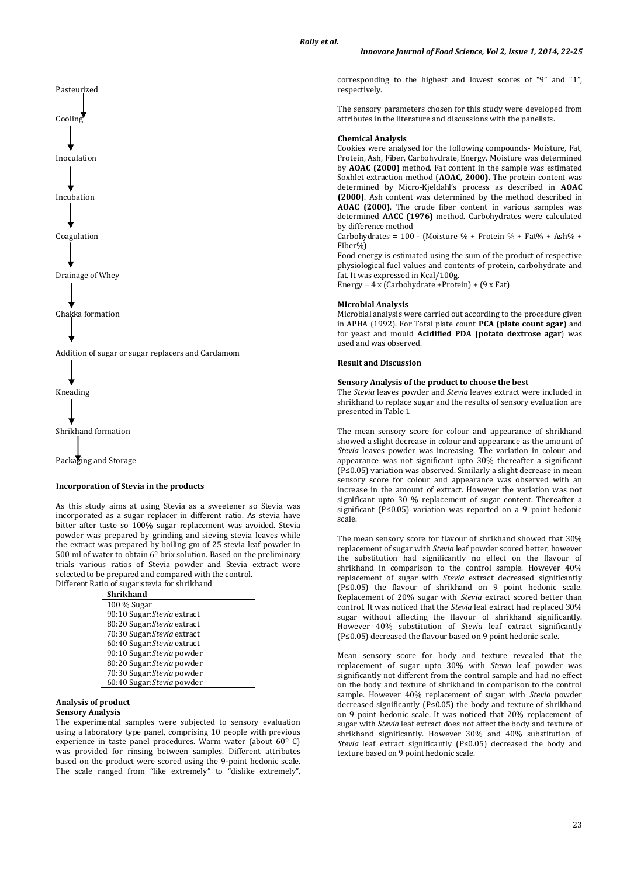

As this study aims at using Stevia as a sweetener so Stevia was incorporated as a sugar replacer in different ratio. As stevia have bitter after taste so 100% sugar replacement was avoided. Stevia powder was prepared by grinding and sieving stevia leaves while the extract was prepared by boiling gm of 25 stevia leaf powder in 500 ml of water to obtain  $6^{\circ}$  brix solution. Based on the preliminary trials various ratios of Stevia powder and Stevia extract were selected to be prepared and compared with the control. Different Ratio of sugar:stevia for shrikhand

| ado oi sugai istevia foi sin iniiana |
|--------------------------------------|
| Shrikhand                            |
| 100 % Sugar                          |
| 90:10 Sugar: Stevia extract          |
| 80:20 Sugar: Stevia extract          |
| 70:30 Sugar: Stevia extract          |
| 60:40 Sugar: Stevia extract          |
| 90:10 Sugar: Stevia powder           |
| 80:20 Sugar: Stevia powder           |
| 70:30 Sugar: Stevia powder           |
| 60:40 Sugar: Stevia powder           |
|                                      |

### **Analysis of product Sensory Analysis**

The experimental samples were subjected to sensory evaluation using a laboratory type panel, comprising 10 people with previous experience in taste panel procedures. Warm water (about 60º C) was provided for rinsing between samples. Different attributes based on the product were scored using the 9-point hedonic scale. The scale ranged from "like extremely" to "dislike extremely",

corresponding to the highest and lowest scores of "9" and "1", respectively.

The sensory parameters chosen for this study were developed from attributes in the literature and discussions with the panelists.

#### **Chemical Analysis**

Cookies were analysed for the following compounds- Moisture, Fat, Protein, Ash, Fiber, Carbohydrate, Energy. Moisture was determined by **AOAC (2000)** method. Fat content in the sample was estimated Soxhlet extraction method (**AOAC, 2000).** The protein content was determined by Micro-Kjeldahl's process as described in **AOAC (2000)**. Ash content was determined by the method described in **AOAC (2000)**. The crude fiber content in various samples was determined **AACC (1976)** method. Carbohydrates were calculated by difference method

Carbohydrates =  $100 -$  (Moisture % + Protein % + Fat% + Ash% + Fiber%)

Food energy is estimated using the sum of the product of respective physiological fuel values and contents of protein, carbohydrate and fat. It was expressed in Kcal/100g.

Energy = 4 x (Carbohydrate +Protein) + (9 x Fat)

#### **Microbial Analysis**

Microbial analysis were carried out according to the procedure given in APHA (1992). For Total plate count **PCA (plate count agar**) and for yeast and mould **Acidified PDA (potato dextrose agar**) was used and was observed.

## **Result and Discussion**

## **Sensory Analysis of the product to choose the best**

The *Stevia* leaves powder and *Stevia* leaves extract were included in shrikhand to replace sugar and the results of sensory evaluation are presented in Table 1

The mean sensory score for colour and appearance of shrikhand showed a slight decrease in colour and appearance as the amount of *Stevia* leaves powder was increasing. The variation in colour and appearance was not significant upto 30% thereafter a significant (P≤0.05) variation was observed. Similarly a slight decrease in mean sensory score for colour and appearance was observed with an increase in the amount of extract. However the variation was not significant upto 30 % replacement of sugar content. Thereafter a significant (P≤0.05) variation was reported on a 9 point hedonic scale.

The mean sensory score for flavour of shrikhand showed that 30% replacement of sugar with *Stevia* leaf powder scored better, however the substitution had significantly no effect on the flavour of shrikhand in comparison to the control sample. However 40% replacement of sugar with *Stevia* extract decreased significantly (P≤0.05) the flavour of shrikhand on 9 point hedonic scale. Replacement of 20% sugar with *Stevia* extract scored better than control. It was noticed that the *Stevia* leaf extract had replaced 30% sugar without affecting the flavour of shrikhand significantly. However 40% substitution of *Stevia* leaf extract significantly (P≤0.05) decreased the flavour based on 9 point hedonic scale.

Mean sensory score for body and texture revealed that the replacement of sugar upto 30% with *Stevia* leaf powder was significantly not different from the control sample and had no effect on the body and texture of shrikhand in comparison to the control sample. However 40% replacement of sugar with *Stevia* powder decreased significantly ( $P \le 0.05$ ) the body and texture of shrikhand on 9 point hedonic scale. It was noticed that 20% replacement of sugar with *Stevia* leaf extract does not affect the body and texture of shrikhand significantly. However 30% and 40% substitution of *Stevia* leaf extract significantly (P≤0.05) decreased the body and texture based on 9 point hedonic scale.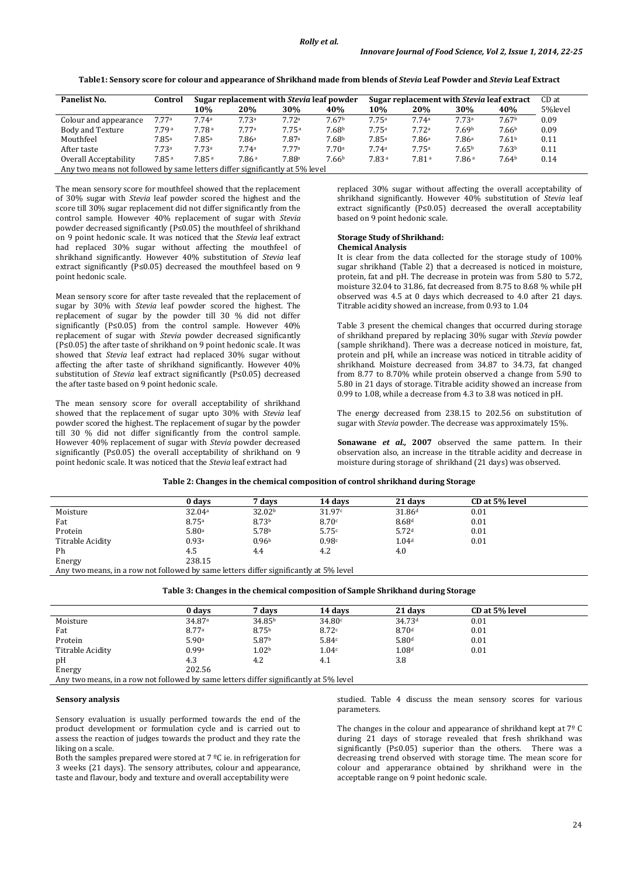**Table1: Sensory score for colour and appearance of Shrikhand made from blends of** *Stevia* **Leaf Powder and** *Stevia* **Leaf Extract**

| Panelist No.                                                                | Control | Sugar replacement with <i>Stevia</i> leaf powder |       |                   | Sugar replacement with <i>Stevia</i> leaf extract |       |       |                   | CD at             |         |
|-----------------------------------------------------------------------------|---------|--------------------------------------------------|-------|-------------------|---------------------------------------------------|-------|-------|-------------------|-------------------|---------|
|                                                                             |         | 10%                                              | 20%   | 30%               | 40%                                               | 10%   | 20%   | 30%               | 40%               | 5%level |
| Colour and appearance                                                       | 7.77a   | 7.74a                                            | 7.73a | 7.72a             | 7.67b                                             | 7.75a | 7.74a | 7.73a             | 7.67 <sup>b</sup> | 0.09    |
| Body and Texture                                                            | 7.79a   | 7.78a                                            | 7.77a | 7.75a             | 7.68b                                             | 7.75a | 7.72a | 7.69b             | 7.66 <sup>b</sup> | 0.09    |
| Mouthfeel                                                                   | 7.85a   | 7.85a                                            | 7.86a | 7.87a             | 7.68b                                             | 7.85a | 7.86a | 7.86a             | 7.61 <sup>b</sup> | 0.11    |
| After taste                                                                 | 7.73a   | 7.73a                                            | 7.74a | 7.77a             | 7.70a                                             | 7.74a | 7.75a | 7.65 <sup>b</sup> | 7.63 <sup>b</sup> | 0.11    |
| Overall Acceptability                                                       | 7.85a   | 7.85a                                            | 7.86a | 7.88 <sup>a</sup> | 7.66b                                             | 7.83a | 7.81a | 7.86a             | 7.64 <sup>b</sup> | 0.14    |
| Any two means not followed by same letters differ significantly at 5% level |         |                                                  |       |                   |                                                   |       |       |                   |                   |         |

The mean sensory score for mouthfeel showed that the replacement of 30% sugar with *Stevia* leaf powder scored the highest and the score till 30% sugar replacement did not differ significantly from the control sample. However 40% replacement of sugar with *Stevia* powder decreased significantly (P≤0.05) the mouthfeel of shrikhand on 9 point hedonic scale. It was noticed that the *Stevia* leaf extract had replaced 30% sugar without affecting the mouthfeel of shrikhand significantly. However 40% substitution of *Stevia* leaf extract significantly (P≤0.05) decreased the mouthfeel based on 9 point hedonic scale.

Mean sensory score for after taste revealed that the replacement of sugar by 30% with *Stevia* leaf powder scored the highest. The replacement of sugar by the powder till 30 % did not differ significantly (P≤0.05) from the control sample. However 40% replacement of sugar with *Stevia* powder decreased significantly (P≤0.05) the after taste of shrikhand on 9 point hedonic scale. It was showed that *Stevia* leaf extract had replaced 30% sugar without affecting the after taste of shrikhand significantly. However 40% substitution of *Stevia* leaf extract significantly (P≤0.05) decreased the after taste based on 9 point hedonic scale.

The mean sensory score for overall acceptability of shrikhand showed that the replacement of sugar upto 30% with *Stevia* leaf powder scored the highest. The replacement of sugar by the powder till 30 % did not differ significantly from the control sample. However 40% replacement of sugar with *Stevia* powder decreased significantly (P≤0.05) the overall acceptability of shrikhand on 9 point hedonic scale. It was noticed that the *Stevia* leaf extract had

replaced 30% sugar without affecting the overall acceptability of shrikhand significantly. However 40% substitution of *Stevia* leaf extract significantly (P≤0.05) decreased the overall acceptability based on 9 point hedonic scale.

#### **Storage Study of Shrikhand: Chemical Analysis**

It is clear from the data collected for the storage study of 100% sugar shrikhand (Table 2) that a decreased is noticed in moisture, protein, fat and pH. The decrease in protein was from 5.80 to 5.72, moisture 32.04 to 31.86, fat decreased from 8.75 to 8.68 % while pH observed was 4.5 at 0 days which decreased to 4.0 after 21 days. Titrable acidity showed an increase, from 0.93 to 1.04

Table 3 present the chemical changes that occurred during storage of shrikhand prepared by replacing 30% sugar with *Stevia* powder (sample shrikhand). There was a decrease noticed in moisture, fat, protein and pH, while an increase was noticed in titrable acidity of shrikhand. Moisture decreased from 34.87 to 34.73, fat changed from 8.77 to 8.70% while protein observed a change from 5.90 to 5.80 in 21 days of storage. Titrable acidity showed an increase from 0.99 to 1.08, while a decrease from 4.3 to 3.8 was noticed in pH.

The energy decreased from 238.15 to 202.56 on substitution of sugar with *Stevia* powder. The decrease was approximately 15%.

**Sonawane** *et al.,* **2007** observed the same pattern. In their observation also, an increase in the titrable acidity and decrease in moisture during storage of shrikhand (21 days) was observed.

**Table 2: Changes in the chemical composition of control shrikhand during Storage**

|                  | 0 days                            | 7 davs                                                                                                                                          | 14 davs | 21 days            | CD at 5% level |  |
|------------------|-----------------------------------|-------------------------------------------------------------------------------------------------------------------------------------------------|---------|--------------------|----------------|--|
| Moisture         | 32.04 <sup>a</sup>                | 32.02b                                                                                                                                          | 31.97c  | 31.86 <sup>d</sup> | 0.01           |  |
| Fat              | 8.75 <sup>a</sup>                 | 8.73 <sup>b</sup>                                                                                                                               | 8.70c   | 8.68d              | 0.01           |  |
| Protein          | 5.80a                             | 5.78 <sup>b</sup>                                                                                                                               | 5.75c   | 5.72 <sup>d</sup>  | 0.01           |  |
| Titrable Acidity | 0.93a                             | 0.96 <sup>b</sup>                                                                                                                               | 0.98c   | 1.04 <sup>d</sup>  | 0.01           |  |
| Ph               | 4.5                               | 4.4                                                                                                                                             | 4.2     | 4.0                |                |  |
| Energy           | 238.15                            |                                                                                                                                                 |         |                    |                |  |
| $\cdots$         | $\sim$ $\sim$ 11 $\sim$ 11 $\sim$ | $\mathbf{1}$ . The $\mathbf{1}$ is $\mathbf{1}$ in $\mathbf{1}$ is $\mathbf{1}$ if $\mathbf{1}$ is $\mathbf{1}$ if $\mathbf{1}$ is $\mathbf{1}$ |         |                    |                |  |

Any two means, in a row not followed by same letters differ significantly at 5% level

**Table 3: Changes in the chemical composition of Sample Shrikhand during Storage**

|                  | 0 days                              | 7 davs                                                                 | 14 davs | 21 days            | CD at 5% level |  |
|------------------|-------------------------------------|------------------------------------------------------------------------|---------|--------------------|----------------|--|
| Moisture         | 34.87 <sup>a</sup>                  | 34.85 <sup>b</sup>                                                     | 34.80c  | 34.73 <sup>d</sup> | 0.01           |  |
| Fat              | 8.77a                               | 8.75 <sup>b</sup>                                                      | 8.72c   | 8.70 <sup>d</sup>  | 0.01           |  |
| Protein          | 5.90a                               | 5.87b                                                                  | 5.84c   | 5.80 <sup>d</sup>  | 0.01           |  |
| Titrable Acidity | 0.99a                               | 1.02 <sub>b</sub>                                                      | 1.04c   | 1.08 <sup>d</sup>  | 0.01           |  |
| pH               | 4.3                                 | 4.2                                                                    | 4.1     | 3.8                |                |  |
| Energy           | 202.56                              |                                                                        |         |                    |                |  |
| $\cdots$         | $\sim$ $\sigma$ 11 $\sim$ 11 $\sim$ | $\mathbf{A}$ . The $\mathbf{A}$ is a second of the second $\mathbf{A}$ |         |                    |                |  |

Any two means, in a row not followed by same letters differ significantly at 5% level

### **Sensory analysis**

Sensory evaluation is usually performed towards the end of the product development or formulation cycle and is carried out to assess the reaction of judges towards the product and they rate the liking on a scale.

Both the samples prepared were stored at  $7 \, \text{°C}$  ie. in refrigeration for 3 weeks (21 days). The sensory attributes, colour and appearance, taste and flavour, body and texture and overall acceptability were

studied. Table 4 discuss the mean sensory scores for various parameters.

The changes in the colour and appearance of shrikhand kept at  $7<sup>°</sup>$  C during 21 days of storage revealed that fresh shrikhand was significantly (P≤0.05) superior than the others. There was a decreasing trend observed with storage time. The mean score for colour and apperarance obtained by shrikhand were in the acceptable range on 9 point hedonic scale.